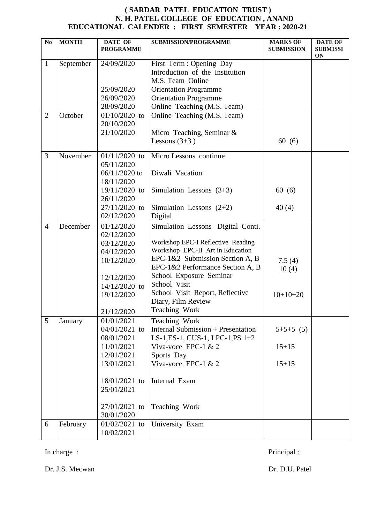## **( SARDAR PATEL EDUCATION TRUST ) N. H. PATEL COLLEGE OF EDUCATION , ANAND EDUCATIONAL CALENDER : FIRST SEMESTER YEAR : 2020-21**

| N <sub>o</sub> | <b>MONTH</b> | <b>DATE OF</b><br><b>PROGRAMME</b>                                                                                                                | <b>SUBMISSION/PROGRAMME</b>                                                                                                                                                                                                                                                                            | <b>MARKS OF</b><br><b>SUBMISSION</b>  | <b>DATE OF</b><br><b>SUBMISSI</b><br><b>ON</b> |
|----------------|--------------|---------------------------------------------------------------------------------------------------------------------------------------------------|--------------------------------------------------------------------------------------------------------------------------------------------------------------------------------------------------------------------------------------------------------------------------------------------------------|---------------------------------------|------------------------------------------------|
| $\mathbf{1}$   | September    | 24/09/2020<br>25/09/2020<br>26/09/2020<br>28/09/2020                                                                                              | First Term : Opening Day<br>Introduction of the Institution<br>M.S. Team Online<br><b>Orientation Programme</b><br><b>Orientation Programme</b><br>Online Teaching (M.S. Team)                                                                                                                         |                                       |                                                |
| $\overline{2}$ | October      | $01/10/2020$ to<br>20/10/2020<br>21/10/2020                                                                                                       | Online Teaching (M.S. Team)<br>Micro Teaching, Seminar &<br>Lessons. $(3+3)$                                                                                                                                                                                                                           | 60(6)                                 |                                                |
| 3              | November     | $01/11/2020$ to<br>05/11/2020<br>06/11/2020 to<br>18/11/2020<br>19/11/2020 to<br>26/11/2020<br>27/11/2020 to<br>02/12/2020                        | Micro Lessons continue<br>Diwali Vacation<br>Simulation Lessons $(3+3)$<br>Simulation Lessons $(2+2)$<br>Digital                                                                                                                                                                                       | 60(6)<br>40(4)                        |                                                |
| $\overline{4}$ | December     | 01/12/2020<br>02/12/2020<br>03/12/2020<br>04/12/2020<br>10/12/2020<br>12/12/2020<br>14/12/2020 to<br>19/12/2020<br>21/12/2020                     | Simulation Lessons Digital Conti.<br>Workshop EPC-I Reflective Reading<br>Workshop EPC-II Art in Education<br>EPC-1&2 Submission Section A, B<br>EPC-1&2 Performance Section A, B<br>School Exposure Seminar<br>School Visit<br>School Visit Report, Reflective<br>Diary, Film Review<br>Teaching Work | 7.5(4)<br>10(4)<br>$10+10+20$         |                                                |
| 5              | January      | 01/01/2021<br>04/01/2021 to<br>08/01/2021<br>11/01/2021<br>12/01/2021<br>13/01/2021<br>18/01/2021 to<br>25/01/2021<br>27/01/2021 to<br>30/01/2020 | Teaching Work<br><b>Internal Submission + Presentation</b><br>LS-1, ES-1, CUS-1, LPC-1, PS 1+2<br>Viva-voce EPC-1 $& 2$<br>Sports Day<br>Viva-voce EPC-1 $& 2$<br>Internal Exam<br>Teaching Work                                                                                                       | $5+5+5$ (5)<br>$15 + 15$<br>$15 + 15$ |                                                |
| 6              | February     | $01/02/2021$ to<br>10/02/2021                                                                                                                     | University Exam                                                                                                                                                                                                                                                                                        |                                       |                                                |

In charge : Principal : Principal :

Dr. J.S. Mecwan Dr. D.U. Patel